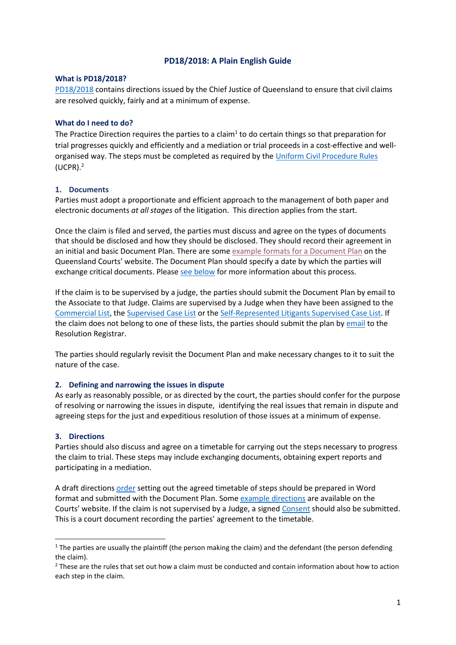# **PD18/2018: A Plain English Guide**

#### **What is PD18/2018?**

[PD18/2018](https://www.courts.qld.gov.au/__data/assets/pdf_file/0007/579418/sc-pd-18of2018.pdf) contains directions issued by the Chief Justice of Queensland to ensure that civil claims are resolved quickly, fairly and at a minimum of expense.

## **What do I need to do?**

The Practice Direction requires the parties to a claim<sup>1</sup> to do certain things so that preparation for trial progresses quickly and efficiently and a mediation or trial proceeds in a cost-effective and wellorganised way. The steps must be completed as required by the [Uniform Civil Procedure Rules](https://www.legislation.qld.gov.au/view/html/inforce/current/sl-1999-0111) (UCPR). 2

## **1. Documents**

Parties must adopt a proportionate and efficient approach to the management of both paper and electronic documents *at all stages* of the litigation. This direction applies from the start.

Once the claim is filed and served, the parties must discuss and agree on the types of documents that should be disclosed and how they should be disclosed. They should record their agreement in an initial and basic Document Plan. There are some [example formats for a Document Plan](https://www.courts.qld.gov.au/court-users/practitioners/efficient-conduct-of-civil-litigation-practice-direction#example-document-plans) on the Queensland Courts' website. The Document Plan should specify a date by which the parties will exchange critical documents. Pleas[e see below](#page-1-0) for more information about this process.

If the claim is to be supervised by a judge, the parties should submit the Document Plan by email to the Associate to that Judge. Claims are supervised by a Judge when they have been assigned to the [Commercial List,](https://www.courts.qld.gov.au/__data/assets/pdf_file/0010/86383/sc-pd-3of2002.pdf) the [Supervised Case List](https://www.courts.qld.gov.au/__data/assets/pdf_file/0020/150266/sc-pd11of2012.pdf) or the [Self-Represented Litigants Supervised Case List.](https://www.courts.qld.gov.au/__data/assets/pdf_file/0008/225638/sc-pd-10of2014.pdf) If the claim does not belong to one of these lists, the parties should submit the plan by [email](mailto:Resolution.Registrar@courts.qld.gov.au) to the Resolution Registrar.

The parties should regularly revisit the Document Plan and make necessary changes to it to suit the nature of the case.

## **2. Defining and narrowing the issues in dispute**

As early as reasonably possible, or as directed by the court, the parties should confer for the purpose of resolving or narrowing the issues in dispute, identifying the real issues that remain in dispute and agreeing steps for the just and expeditious resolution of those issues at a minimum of expense.

#### **3. Directions**

 $\overline{a}$ 

Parties should also discuss and agree on a timetable for carrying out the steps necessary to progress the claim to trial. These steps may include exchanging documents, obtaining expert reports and participating in a mediation.

A draft directions [order](https://www.courts.qld.gov.au/__data/assets/word_doc/0005/88403/ucpr-f-59-070614.doc) setting out the agreed timetable of steps should be prepared in Word format and submitted with the Document Plan. Some [example directions](https://www.courts.qld.gov.au/court-users/practitioners/efficient-conduct-of-civil-litigation-practice-direction-182018#example_documents) are available on the Courts' website. If the claim is not supervised by a Judge, a signed [Consent](https://www.courts.qld.gov.au/__data/assets/word_doc/0006/88404/ucpr-f-59a-070614.doc) should also be submitted. This is a court document recording the parties' agreement to the timetable.

 $1$  The parties are usually the plaintiff (the person making the claim) and the defendant (the person defending the claim).

<sup>&</sup>lt;sup>2</sup> These are the rules that set out how a claim must be conducted and contain information about how to action each step in the claim.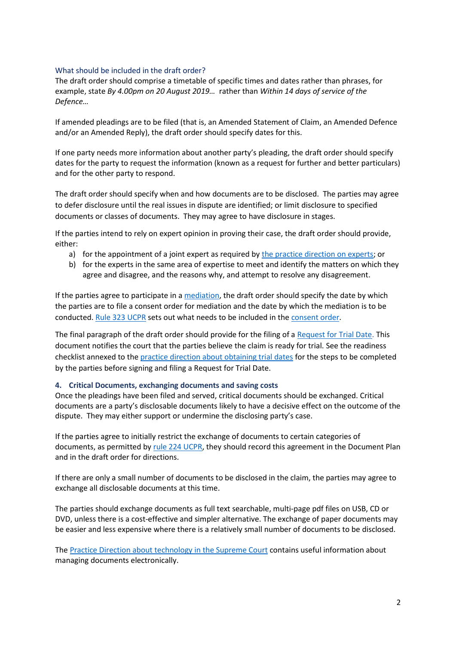## <span id="page-1-1"></span>What should be included in the draft order?

The draft order should comprise a timetable of specific times and dates rather than phrases, for example, state *By 4.00pm on 20 August 2019…* rather than *Within 14 days of service of the Defence…*

If amended pleadings are to be filed (that is, an Amended Statement of Claim, an Amended Defence and/or an Amended Reply), the draft order should specify dates for this.

If one party needs more information about another party's pleading, the draft order should specify dates for the party to request the information (known as a request for further and better particulars) and for the other party to respond.

The draft order should specify when and how documents are to be disclosed. The parties may agree to defer disclosure until the real issues in dispute are identified; or limit disclosure to specified documents or classes of documents. They may agree to have disclosure in stages.

If the parties intend to rely on expert opinion in proving their case, the draft order should provide, either:

- a) for the appointment of a joint expert as required by [the practice direction on experts;](https://www.courts.qld.gov.au/__data/assets/pdf_file/0007/86398/sc-pd-2of2005.pdf) or
- b) for the experts in the same area of expertise to meet and identify the matters on which they agree and disagree, and the reasons why, and attempt to resolve any disagreement.

If the parties agree to participate in [a mediation,](https://www.courts.qld.gov.au/going-to-court/alternative-dispute-resolution/mediation) the draft order should specify the date by which the parties are to file a consent order for mediation and the date by which the mediation is to be conducted[. Rule 323 UCPR](https://www.legislation.qld.gov.au/view/html/inforce/current/sl-1999-0111#sec.323) sets out what needs to be included in the [consent order.](https://www.courts.qld.gov.au/__data/assets/word_doc/0004/88339/ucpr-f-33-070614.doc)

The final paragraph of the draft order should provide for the filing of a [Request for Trial Date.](https://www.courts.qld.gov.au/__data/assets/word_doc/0008/88388/ucpr-f-48v4-070614.doc) This document notifies the court that the parties believe the claim is ready for trial. See the readiness checklist annexed to the [practice direction about obtaining trial dates](https://www.courts.qld.gov.au/__data/assets/pdf_file/0008/86426/sc-pd-9of2010.pdf) for the steps to be completed by the parties before signing and filing a Request for Trial Date.

## <span id="page-1-0"></span>**4. Critical Documents, exchanging documents and saving costs**

Once the pleadings have been filed and served, critical documents should be exchanged. Critical documents are a party's disclosable documents likely to have a decisive effect on the outcome of the dispute. They may either support or undermine the disclosing party's case.

If the parties agree to initially restrict the exchange of documents to certain categories of documents, as permitted by [rule 224 UCPR,](https://www.legislation.qld.gov.au/view/html/inforce/current/sl-1999-0111#sec.224) they should record this agreement in the Document Plan and in the draft order for directions.

If there are only a small number of documents to be disclosed in the claim, the parties may agree to exchange all disclosable documents at this time.

The parties should exchange documents as full text searchable, multi-page pdf files on USB, CD or DVD, unless there is a cost-effective and simpler alternative. The exchange of paper documents may be easier and less expensive where there is a relatively small number of documents to be disclosed.

The [Practice Direction about technology in the Supreme Court](https://www.courts.qld.gov.au/__data/assets/pdf_file/0016/130507/sc-pd10of2011.pdf) contains useful information about managing documents electronically.